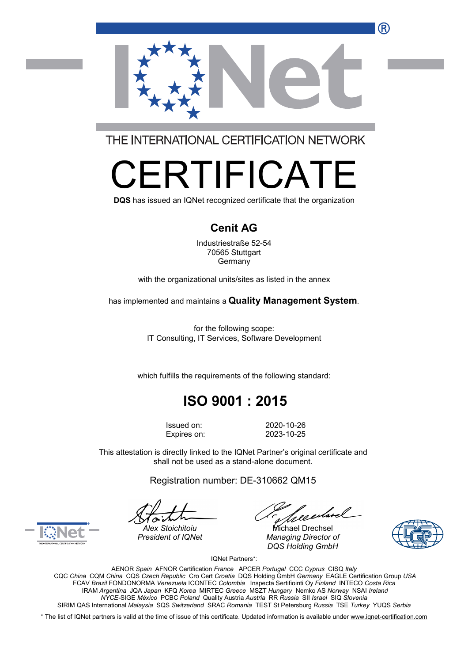

THE INTERNATIONAL CERTIFICATION NETWORK

# R I II-ICA

**DQS** has issued an IQNet recognized certificate that the organization

#### **Cenit AG**

Industriestraße 52-54 70565 Stuttgart Germany

with the organizational units/sites as listed in the annex

has implemented and maintains a **Quality Management System**.

for the following scope: IT Consulting, IT Services, Software Development

which fulfills the requirements of the following standard:

## **ISO 9001 : 2015**

Issued on: 2020-10-26 Expires on: 2023-10-25

This attestation is directly linked to the IQNet Partner's original certificate and shall not be used as a stand-alone document.

Registration number: DE-310662 QM15

*President of IQNet Managing Director of DQS Holding GmbH*





Alex Stoichitoiu **Michael Drechsel** 

IQNet Partners\*:

AENOR *Spain* AFNOR Certification *France* APCER *Portugal* CCC *Cyprus* CISQ *Italy* CQC *China* CQM *China* CQS *Czech Republic* Cro Cert *Croatia* DQS Holding GmbH *Germany* EAGLE Certification Group *USA* FCAV *Brazil* FONDONORMA *Venezuela* ICONTEC *Colombia* Inspecta Sertifiointi Oy *Finland* INTECO *Costa Rica* IRAM *Argentina* JQA *Japan* KFQ *Korea* MIRTEC *Greece* MSZT *Hungary* Nemko AS *Norway* NSAI *Ireland NYCE-*SIGE *México* PCBC *Poland* Quality Austria *Austria* RR *Russia* SII *Israel* SIQ *Slovenia* SIRIM QAS International *Malaysia* SQS *Switzerland* SRAC *Romania* TEST St Petersburg *Russia* TSE *Turkey* YUQS *Serbia*

\* The list of IQNet partners is valid at the time of issue of this certificate. Updated information is available under www.ignet-certification.com